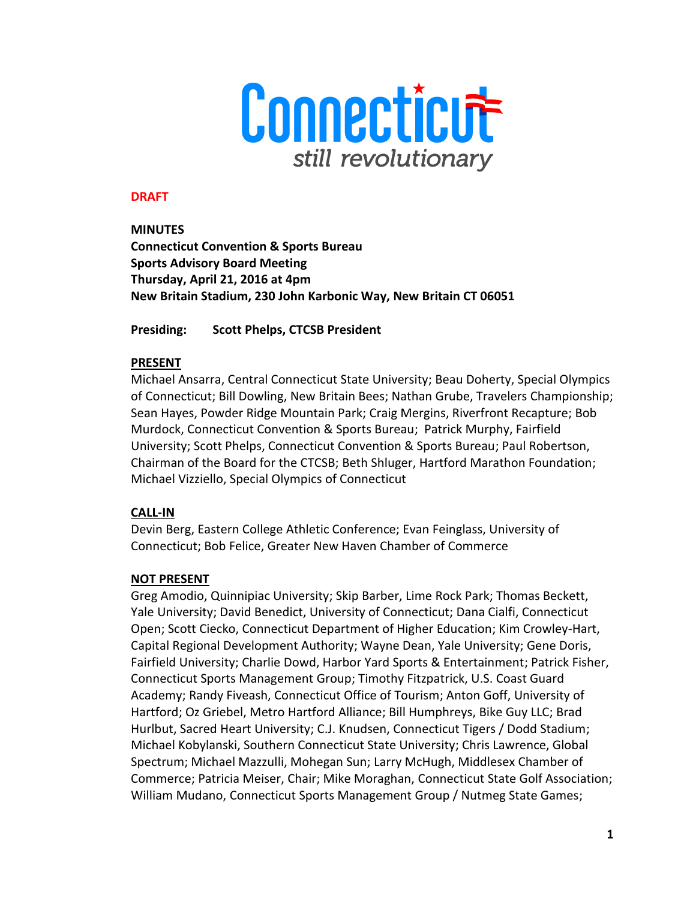

### **DRAFT**

**MINUTES Connecticut Convention & Sports Bureau Sports Advisory Board Meeting Thursday, April 21, 2016 at 4pm New Britain Stadium, 230 John Karbonic Way, New Britain CT 06051**

**Presiding: Scott Phelps, CTCSB President** 

### **PRESENT**

Michael Ansarra, Central Connecticut State University; Beau Doherty, Special Olympics of Connecticut; Bill Dowling, New Britain Bees; Nathan Grube, Travelers Championship; Sean Hayes, Powder Ridge Mountain Park; Craig Mergins, Riverfront Recapture; Bob Murdock, Connecticut Convention & Sports Bureau; Patrick Murphy, Fairfield University; Scott Phelps, Connecticut Convention & Sports Bureau; Paul Robertson, Chairman of the Board for the CTCSB; Beth Shluger, Hartford Marathon Foundation; Michael Vizziello, Special Olympics of Connecticut

## **CALL-IN**

Devin Berg, Eastern College Athletic Conference; Evan Feinglass, University of Connecticut; Bob Felice, Greater New Haven Chamber of Commerce

### **NOT PRESENT**

Greg Amodio, Quinnipiac University; Skip Barber, Lime Rock Park; Thomas Beckett, Yale University; David Benedict, University of Connecticut; Dana Cialfi, Connecticut Open; Scott Ciecko, Connecticut Department of Higher Education; Kim Crowley-Hart, Capital Regional Development Authority; Wayne Dean, Yale University; Gene Doris, Fairfield University; Charlie Dowd, Harbor Yard Sports & Entertainment; Patrick Fisher, Connecticut Sports Management Group; Timothy Fitzpatrick, U.S. Coast Guard Academy; Randy Fiveash, Connecticut Office of Tourism; Anton Goff, University of Hartford; Oz Griebel, Metro Hartford Alliance; Bill Humphreys, Bike Guy LLC; Brad Hurlbut, Sacred Heart University; C.J. Knudsen, Connecticut Tigers / Dodd Stadium; Michael Kobylanski, Southern Connecticut State University; Chris Lawrence, Global Spectrum; Michael Mazzulli, Mohegan Sun; Larry McHugh, Middlesex Chamber of Commerce; Patricia Meiser, Chair; Mike Moraghan, Connecticut State Golf Association; William Mudano, Connecticut Sports Management Group / Nutmeg State Games;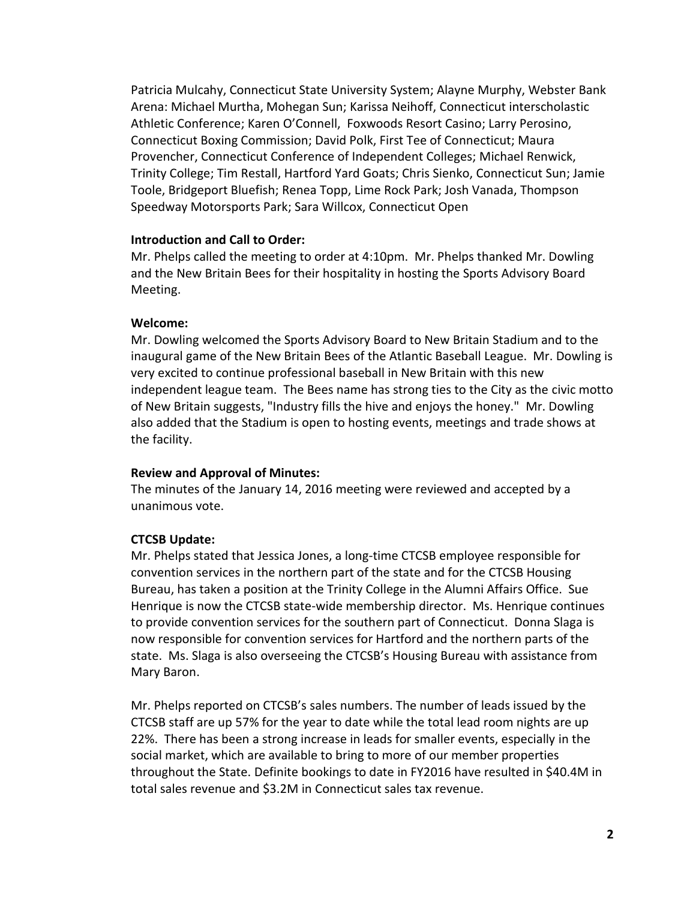Patricia Mulcahy, Connecticut State University System; Alayne Murphy, Webster Bank Arena: Michael Murtha, Mohegan Sun; Karissa Neihoff, Connecticut interscholastic Athletic Conference; Karen O'Connell, Foxwoods Resort Casino; Larry Perosino, Connecticut Boxing Commission; David Polk, First Tee of Connecticut; Maura Provencher, Connecticut Conference of Independent Colleges; Michael Renwick, Trinity College; Tim Restall, Hartford Yard Goats; Chris Sienko, Connecticut Sun; Jamie Toole, Bridgeport Bluefish; Renea Topp, Lime Rock Park; Josh Vanada, Thompson Speedway Motorsports Park; Sara Willcox, Connecticut Open

#### **Introduction and Call to Order:**

Mr. Phelps called the meeting to order at 4:10pm. Mr. Phelps thanked Mr. Dowling and the New Britain Bees for their hospitality in hosting the Sports Advisory Board Meeting.

#### **Welcome:**

Mr. Dowling welcomed the Sports Advisory Board to New Britain Stadium and to the inaugural game of the New Britain Bees of the Atlantic Baseball League. Mr. Dowling is very excited to continue professional baseball in New Britain with this new independent league team. The Bees name has strong ties to the City as the civic motto of New Britain suggests, "Industry fills the hive and enjoys the honey." Mr. Dowling also added that the Stadium is open to hosting events, meetings and trade shows at the facility.

#### **Review and Approval of Minutes:**

The minutes of the January 14, 2016 meeting were reviewed and accepted by a unanimous vote.

### **CTCSB Update:**

Mr. Phelps stated that Jessica Jones, a long-time CTCSB employee responsible for convention services in the northern part of the state and for the CTCSB Housing Bureau, has taken a position at the Trinity College in the Alumni Affairs Office. Sue Henrique is now the CTCSB state-wide membership director. Ms. Henrique continues to provide convention services for the southern part of Connecticut. Donna Slaga is now responsible for convention services for Hartford and the northern parts of the state. Ms. Slaga is also overseeing the CTCSB's Housing Bureau with assistance from Mary Baron.

Mr. Phelps reported on CTCSB's sales numbers. The number of leads issued by the CTCSB staff are up 57% for the year to date while the total lead room nights are up 22%. There has been a strong increase in leads for smaller events, especially in the social market, which are available to bring to more of our member properties throughout the State. Definite bookings to date in FY2016 have resulted in \$40.4M in total sales revenue and \$3.2M in Connecticut sales tax revenue.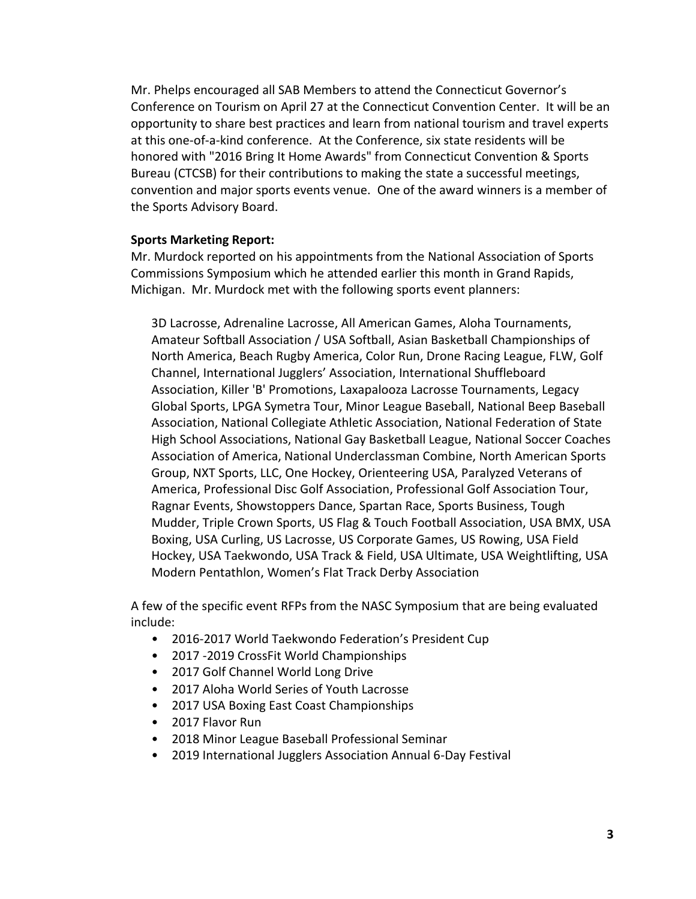Mr. Phelps encouraged all SAB Members to attend the Connecticut Governor's Conference on Tourism on April 27 at the Connecticut Convention Center. It will be an opportunity to share best practices and learn from national tourism and travel experts at this one-of-a-kind conference. At the Conference, six state residents will be honored with "2016 Bring It Home Awards" from Connecticut Convention & Sports Bureau (CTCSB) for their contributions to making the state a successful meetings, convention and major sports events venue. One of the award winners is a member of the Sports Advisory Board.

### **Sports Marketing Report:**

Mr. Murdock reported on his appointments from the National Association of Sports Commissions Symposium which he attended earlier this month in Grand Rapids, Michigan. Mr. Murdock met with the following sports event planners:

3D Lacrosse, Adrenaline Lacrosse, All American Games, Aloha Tournaments, Amateur Softball Association / USA Softball, Asian Basketball Championships of North America, Beach Rugby America, Color Run, Drone Racing League, FLW, Golf Channel, International Jugglers' Association, International Shuffleboard Association, Killer 'B' Promotions, Laxapalooza Lacrosse Tournaments, Legacy Global Sports, LPGA Symetra Tour, Minor League Baseball, National Beep Baseball Association, National Collegiate Athletic Association, National Federation of State High School Associations, National Gay Basketball League, National Soccer Coaches Association of America, National Underclassman Combine, North American Sports Group, NXT Sports, LLC, One Hockey, Orienteering USA, Paralyzed Veterans of America, Professional Disc Golf Association, Professional Golf Association Tour, Ragnar Events, Showstoppers Dance, Spartan Race, Sports Business, Tough Mudder, Triple Crown Sports, US Flag & Touch Football Association, USA BMX, USA Boxing, USA Curling, US Lacrosse, US Corporate Games, US Rowing, USA Field Hockey, USA Taekwondo, USA Track & Field, USA Ultimate, USA Weightlifting, USA Modern Pentathlon, Women's Flat Track Derby Association

A few of the specific event RFPs from the NASC Symposium that are being evaluated include:

- 2016-2017 World Taekwondo Federation's President Cup
- 2017 -2019 CrossFit World Championships
- 2017 Golf Channel World Long Drive
- 2017 Aloha World Series of Youth Lacrosse
- 2017 USA Boxing East Coast Championships
- 2017 Flavor Run
- 2018 Minor League Baseball Professional Seminar
- 2019 International Jugglers Association Annual 6-Day Festival